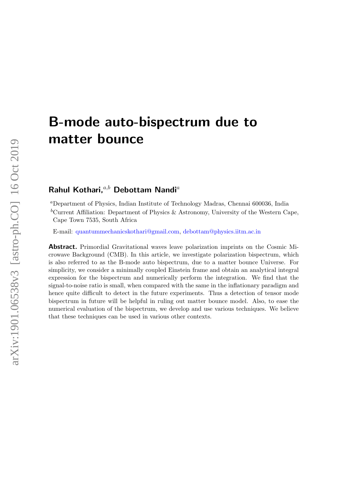# B-mode auto-bispectrum due to matter bounce

# Rahul Kothari, $a,b$  Debottam Nandi<sup>a</sup>

<sup>a</sup>Department of Physics, Indian Institute of Technology Madras, Chennai 600036, India

<sup>b</sup>Current Affiliation: Department of Physics & Astronomy, University of the Western Cape, Cape Town 7535, South Africa

E-mail: [quantummechanicskothari@gmail.com,](mailto:quantummechanicskothari@gmail.com) [debottam@physics.iitm.ac.in](mailto:debottam@physics.iitm.ac.in)

Abstract. Primordial Gravitational waves leave polarization imprints on the Cosmic Microwave Background (CMB). In this article, we investigate polarization bispectrum, which is also referred to as the B-mode auto bispectrum, due to a matter bounce Universe. For simplicity, we consider a minimally coupled Einstein frame and obtain an analytical integral expression for the bispectrum and numerically perform the integration. We find that the signal-to-noise ratio is small, when compared with the same in the inflationary paradigm and hence quite difficult to detect in the future experiments. Thus a detection of tensor mode bispectrum in future will be helpful in ruling out matter bounce model. Also, to ease the numerical evaluation of the bispectrum, we develop and use various techniques. We believe that these techniques can be used in various other contexts.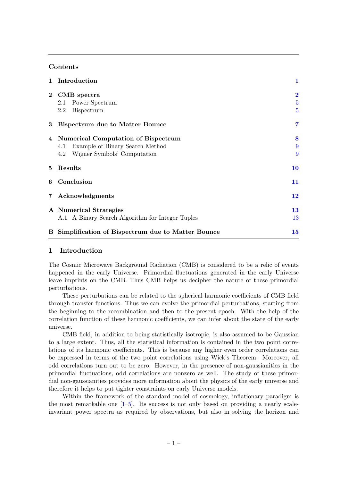# **Contents**

| 1              | Introduction                                        | $\mathbf{1}$            |
|----------------|-----------------------------------------------------|-------------------------|
| $\mathbf{2}$   | CMB spectra                                         | $\overline{\mathbf{2}}$ |
|                | Power Spectrum<br>2.1                               | $\overline{5}$          |
|                | <b>Bispectrum</b><br>2.2                            | $\overline{5}$          |
| 3              | <b>Bispectrum due to Matter Bounce</b>              | $\overline{7}$          |
| 4              | <b>Numerical Computation of Bispectrum</b>          | 8                       |
|                | Example of Binary Search Method<br>4.1              | 9                       |
|                | Wigner Symbols' Computation<br>4.2                  | 9                       |
| $5^{\circ}$    | Results                                             | 10                      |
| 6              | Conclusion                                          | 11                      |
| $7\phantom{.}$ | Acknowledgments                                     | 12                      |
|                | A Numerical Strategies                              | 13                      |
|                | A.1 A Binary Search Algorithm for Integer Tuples    | 13                      |
|                | B Simplification of Bispectrum due to Matter Bounce | 15                      |

# <span id="page-1-0"></span>1 Introduction

The Cosmic Microwave Background Radiation (CMB) is considered to be a relic of events happened in the early Universe. Primordial fluctuations generated in the early Universe leave imprints on the CMB. Thus CMB helps us decipher the nature of these primordial perturbations.

These perturbations can be related to the spherical harmonic coefficients of CMB field through transfer functions. Thus we can evolve the primordial perturbations, starting from the beginning to the recombination and then to the present epoch. With the help of the correlation function of these harmonic coefficients, we can infer about the state of the early universe.

CMB field, in addition to being statistically isotropic, is also assumed to be Gaussian to a large extent. Thus, all the statistical information is contained in the two point correlations of its harmonic coefficients. This is because any higher even order correlations can be expressed in terms of the two point correlations using Wick's Theorem. Moreover, all odd correlations turn out to be zero. However, in the presence of non-gaussianities in the primordial fluctuations, odd correlations are nonzero as well. The study of these primordial non-gaussianities provides more information about the physics of the early universe and therefore it helps to put tighter constraints on early Universe models.

Within the framework of the standard model of cosmology, inflationary paradigm is the most remarkable one  $[1-5]$ . Its success is not only based on providing a nearly scaleinvariant power spectra as required by observations, but also in solving the horizon and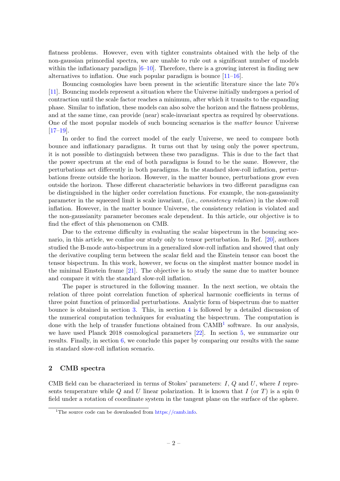flatness problems. However, even with tighter constraints obtained with the help of the non-gaussian primordial spectra, we are unable to rule out a significant number of models within the inflationary paradigm  $[6–10]$  $[6–10]$ . Therefore, there is a growing interest in finding new alternatives to inflation. One such popular paradigm is bounce [\[11–](#page-17-4)[16\]](#page-17-5).

Bouncing cosmologies have been present in the scientific literature since the late 70's [\[11\]](#page-17-4). Bouncing models represent a situation where the Universe initially undergoes a period of contraction until the scale factor reaches a minimum, after which it transits to the expanding phase. Similar to inflation, these models can also solve the horizon and the flatness problems, and at the same time, can provide (near) scale-invariant spectra as required by observations. One of the most popular models of such bouncing scenarios is the matter bounce Universe  $[17–19]$  $[17–19]$ .

In order to find the correct model of the early Universe, we need to compare both bounce and inflationary paradigms. It turns out that by using only the power spectrum, it is not possible to distinguish between these two paradigms. This is due to the fact that the power spectrum at the end of both paradigms is found to be the same. However, the perturbations act differently in both paradigms. In the standard slow-roll inflation, perturbations freeze outside the horizon. However, in the matter bounce, perturbations grow even outside the horizon. These different characteristic behaviors in two different paradigms can be distinguished in the higher order correlation functions. For example, the non-gaussianity parameter in the squeezed limit is scale invariant, (i.e., consistency relation) in the slow-roll inflation. However, in the matter bounce Universe, the consistency relation is violated and the non-gaussianity parameter becomes scale dependent. In this article, our objective is to find the effect of this phenomenon on CMB.

Due to the extreme difficulty in evaluating the scalar bispectrum in the bouncing scenario, in this article, we confine our study only to tensor perturbation. In Ref. [\[20\]](#page-18-2), authors studied the B-mode auto-bispectrum in a generalized slow-roll inflation and showed that only the derivative coupling term between the scalar field and the Einstein tensor can boost the tensor bispectrum. In this work, however, we focus on the simplest matter bounce model in the minimal Einstein frame [\[21\]](#page-18-3). The objective is to study the same due to matter bounce and compare it with the standard slow-roll inflation.

The paper is structured in the following manner. In the next section, we obtain the relation of three point correlation function of spherical harmonic coefficients in terms of three point function of primordial perturbations. Analytic form of bispectrum due to matter bounce is obtained in section [3.](#page-7-0) This, in section [4](#page-8-0) is followed by a detailed discussion of the numerical computation techniques for evaluating the bispectrum. The computation is done with the help of transfer functions obtained from CAMB<sup>[1](#page-2-1)</sup> software. In our analysis, we have used Planck 2018 cosmological parameters [\[22\]](#page-18-4). In section [5,](#page-10-0) we summarize our results. Finally, in section [6,](#page-11-0) we conclude this paper by comparing our results with the same in standard slow-roll inflation scenario.

# <span id="page-2-0"></span>2 CMB spectra

CMB field can be characterized in terms of Stokes' parameters:  $I, Q$  and  $U$ , where  $I$  represents temperature while Q and U linear polarization. It is known that I (or T) is a spin 0 field under a rotation of coordinate system in the tangent plane on the surface of the sphere.

<span id="page-2-1"></span><sup>&</sup>lt;sup>1</sup>The source code can be downloaded from [https://camb.info.](https://camb.info)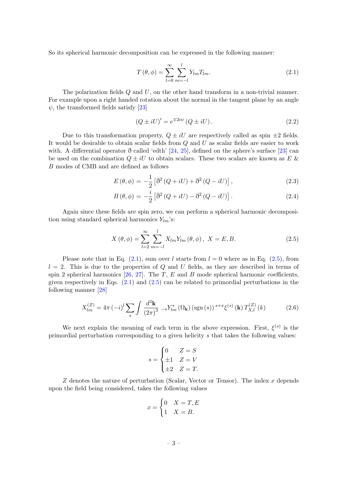So its spherical harmonic decomposition can be expressed in the following manner:

<span id="page-3-0"></span>
$$
T(\theta,\phi) = \sum_{l=0}^{\infty} \sum_{m=-l}^{l} Y_{lm} T_{lm}.
$$
 (2.1)

The polarization fields Q and U, on the other hand transform in a non-trivial manner. For example upon a right handed rotation about the normal in the tangent plane by an angle  $\psi$ , the transformed fields satisfy [\[23\]](#page-18-5)

$$
(Q \pm iU)' = e^{\mp 2i\psi} (Q \pm iU). \qquad (2.2)
$$

Due to this transformation property,  $Q \pm iU$  are respectively called as spin  $\pm 2$  fields. It would be desirable to obtain scalar fields from Q and U as scalar fields are easier to work with. A differential operator  $\eth$  called 'edth' [\[24,](#page-18-6) [25\]](#page-18-7), defined on the sphere's surface [\[23\]](#page-18-5) can be used on the combination  $Q \pm iU$  to obtain scalars. These two scalars are known as E & B modes of CMB and are defined as follows

$$
E(\theta,\phi) = -\frac{1}{2} \left[ \overline{\eth}^2 (Q + iU) + \overline{\eth}^2 (Q - iU) \right],
$$
\n(2.3)

$$
B\left(\theta,\phi\right) = -\frac{i}{2}\left[\bar{\eth}^2\left(Q+iU\right) - \bar{\eth}^2\left(Q-iU\right)\right].\tag{2.4}
$$

Again since these fields are spin zero, we can perform a spherical harmonic decomposition using standard spherical harmonics  $Y_{lm}$ 's:

<span id="page-3-1"></span>
$$
X(\theta, \phi) = \sum_{l=2}^{\infty} \sum_{m=-l}^{l} X_{lm} Y_{lm}(\theta, \phi), \ X = E, B.
$$
 (2.5)

Please note that in Eq.  $(2.1)$ , sum over l starts from  $l = 0$  where as in Eq.  $(2.5)$ , from  $l = 2$ . This is due to the properties of Q and U fields, as they are described in terms of spin 2 spherical harmonics  $[26, 27]$  $[26, 27]$ . The T, E and B mode spherical harmonic coefficients, given respectively in Eqs. [\(2.1\)](#page-3-0) and [\(2.5\)](#page-3-1) can be related to primordial perturbations in the following manner [\[28\]](#page-18-10)

<span id="page-3-2"></span>
$$
X_{lm}^{(Z)} = 4\pi \, (-i)^l \sum_{s} \int \frac{d^3 \mathbf{k}}{(2\pi)^3} \, -s Y_{lm}^* \left( \Omega_{\mathbf{k}} \right) \left( \text{sgn} \left( s \right) \right) \, s + x \, \xi^{(s)} \left( \mathbf{k} \right) T_{X,l}^{(Z)} \left( k \right) \tag{2.6}
$$

We next explain the meaning of each term in the above expression. First,  $\xi^{(s)}$  is the primordial perturbation corresponding to a given helicity s that takes the following values:

$$
s = \begin{cases} 0 & Z = S \\ \pm 1 & Z = V \\ \pm 2 & Z = T. \end{cases}
$$

 $Z$  denotes the nature of perturbation (Scalar, Vector or Tensor). The index  $x$  depends upon the field being considered, takes the following values

$$
x = \begin{cases} 0 & X = T, E \\ 1 & X = B. \end{cases}
$$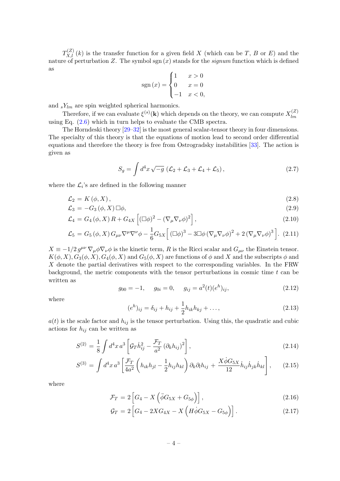$T_{X,l}^{(Z)}(k)$  is the transfer function for a given field X (which can be T, B or E) and the nature of perturbation Z. The symbol sgn  $(x)$  stands for the *signum* function which is defined as

$$
sgn(x) = \begin{cases} 1 & x > 0 \\ 0 & x = 0 \\ -1 & x < 0, \end{cases}
$$

and  ${}_sY_{lm}$  are spin weighted spherical harmonics.

Therefore, if we can evaluate  $\xi^{(s)}(\mathbf{k})$  which depends on the theory, we can compute  $X_{lm}^{(Z)}$ lm using Eq. [\(2.6\)](#page-3-2) which in turn helps to evaluate the CMB spectra.

The Horndeski theory [\[29](#page-18-11)[–32\]](#page-18-12) is the most general scalar-tensor theory in four dimensions. The specialty of this theory is that the equations of motion lead to second order differential equations and therefore the theory is free from Ostrogradsky instabilities [\[33\]](#page-18-13). The action is given as

$$
S_g = \int d^4x \sqrt{-g} \left( \mathcal{L}_2 + \mathcal{L}_3 + \mathcal{L}_4 + \mathcal{L}_5 \right), \tag{2.7}
$$

where the  $\mathcal{L}_i$ 's are defined in the following manner

$$
\mathcal{L}_2 = K(\phi, X), \tag{2.8}
$$

$$
\mathcal{L}_3 = -G_3(\phi, X) \square \phi, \tag{2.9}
$$

$$
\mathcal{L}_4 = G_4(\phi, X) R + G_{4X} \left[ (\square \phi)^2 - (\nabla_{\mu} \nabla_{\nu} \phi)^2 \right], \qquad (2.10)
$$

$$
\mathcal{L}_5 = G_5(\phi, X) G_{\mu\nu} \nabla^{\mu} \nabla^{\nu} \phi - \frac{1}{6} G_{5X} \Big[ \left( \Box \phi \right)^3 - 3 \Box \phi \left( \nabla_{\mu} \nabla_{\nu} \phi \right)^2 + 2 \left( \nabla_{\mu} \nabla_{\nu} \phi \right)^3 \Big]. \tag{2.11}
$$

 $X \equiv -1/2 g^{\mu\nu} \nabla_{\mu} \phi \nabla_{\nu} \phi$  is the kinetic term, R is the Ricci scalar and  $G_{\mu\nu}$  the Einstein tensor.  $K(\phi, X), G_3(\phi, X), G_4(\phi, X)$  and  $G_5(\phi, X)$  are functions of  $\phi$  and X and the subscripts  $\phi$  and  $X$  denote the partial derivatives with respect to the corresponding variables. In the FRW background, the metric components with the tensor perturbations in cosmic time  $t$  can be written as

$$
g_{00} = -1, \qquad g_{0i} = 0, \qquad g_{ij} = a^2(t)(e^h)_{ij}, \tag{2.12}
$$

where

$$
(e^h)_{ij} = \delta_{ij} + h_{ij} + \frac{1}{2}h_{ik}h_{kj} + \dots,
$$
\n(2.13)

 $a(t)$  is the scale factor and  $h_{ij}$  is the tensor perturbation. Using this, the quadratic and cubic actions for  $h_{ij}$  can be written as

<span id="page-4-0"></span>
$$
S^{(2)} = \frac{1}{8} \int d^4 x \, a^3 \left[ \mathcal{G}_T \dot{h}_{ij}^2 - \frac{\mathcal{F}_T}{a^2} \left( \partial_k h_{ij} \right)^2 \right],\tag{2.14}
$$

$$
S^{(3)} = \int d^4x \, a^3 \left[ \frac{\mathcal{F}_T}{4a^2} \left( h_{ik} h_{jl} - \frac{1}{2} h_{ij} h_{kl} \right) \partial_k \partial_l h_{ij} + \frac{X \dot{\phi} G_{5X}}{12} \dot{h}_{ij} \dot{h}_{jk} \dot{h}_{kl} \right], \tag{2.15}
$$

where

$$
\mathcal{F}_T = 2\left[G_4 - X\left(\ddot{\phi}G_{5X} + G_{5\phi}\right)\right],\tag{2.16}
$$

$$
G_T = 2\left[G_4 - 2XG_{4X} - X\left(H\dot{\phi}G_{5X} - G_{5\phi}\right)\right].
$$
 (2.17)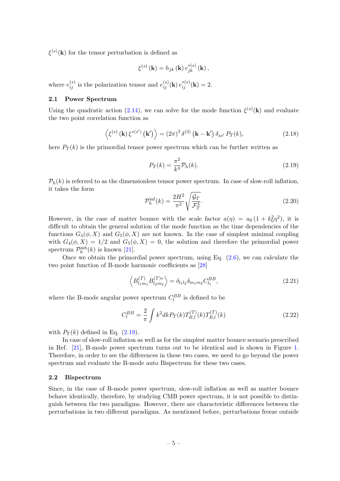$\xi^{(s)}(\mathbf{k})$  for the tensor perturbation is defined as

$$
\xi^{(s)}(\mathbf{k}) = h_{jk}(\mathbf{k}) e_{jk}^{*(s)}(\mathbf{k}),
$$

where  $e_{ij}^{(s)}$  is the polarization tensor and  $e_{ij}^{(s)}(\mathbf{k}) e_{ij}^{*(s)}(\mathbf{k}) = 2$ .

# <span id="page-5-0"></span>2.1 Power Spectrum

Using the quadratic action [\(2.14\)](#page-4-0), we can solve for the mode function  $\xi^{(s)}(\mathbf{k})$  and evaluate the two point correlation function as

$$
\left\langle \xi^{(s)}\left(\mathbf{k}\right)\xi^{*(s')}\left(\mathbf{k'}\right)\right\rangle = \left(2\pi\right)^3 \delta^{(3)}\left(\mathbf{k} - \mathbf{k'}\right) \delta_{ss'} P_T(k),\tag{2.18}
$$

here  $P_T(k)$  is the primordial tensor power spectrum which can be further written as

<span id="page-5-2"></span>
$$
P_T(k) = \frac{\pi^2}{k^3} \mathcal{P}_h(k).
$$
\n(2.19)

 $P_h(k)$  is referred to as the dimensionless tensor power spectrum. In case of slow-roll inflation, it takes the form

$$
\mathcal{P}_h^{\text{inf}}(k) = \frac{2H^2}{\pi^2} \sqrt{\frac{\mathcal{G}_T}{\mathcal{F}_T^3}}.
$$
\n(2.20)

However, in the case of matter bounce with the scale factor  $a(\eta) = a_0 (1 + k_0^2 \eta^2)$ , it is difficult to obtain the general solution of the mode function as the time dependencies of the functions  $G_4(\phi, X)$  and  $G_5(\phi, X)$  are not known. In the case of simplest minimal coupling with  $G_4(\phi, X) = 1/2$  and  $G_5(\phi, X) = 0$ , the solution and therefore the primordial power spectrum  $\mathcal{P}_h^{\text{mb}}(k)$  is known [\[21\]](#page-18-3).

Once we obtain the primordial power spectrum, using Eq.  $(2.6)$ , we can calculate the two point function of B-mode harmonic coefficients as [\[28\]](#page-18-10)

$$
\left\langle B_{l_1m_1}^{(T)} B_{l_2m_2}^{(T)*} \right\rangle = \delta_{l_1l_2} \delta_{m_1m_2} C_{l_1}^{BB},\tag{2.21}
$$

where the B-mode angular power spectrum  $C_l^{BB}$  is defined to be

$$
C_l^{BB} = \frac{2}{\pi} \int k^2 dk P_T(k) T_{B,l}^{(T)}(k) T_{B,l}^{(T)}(k)
$$
\n(2.22)

with  $P_T(k)$  defined in Eq. [\(2.19\)](#page-5-2).

In case of slow-roll inflation as well as for the simplest matter bounce scenario prescribed in Ref. [\[21\]](#page-18-3), B-mode power spectrum turns out to be identical and is shown in Figure [1.](#page-6-0) Therefore, in order to see the differences in these two cases, we need to go beyond the power spectrum and evaluate the B-mode auto Bispectrum for these two cases.

#### <span id="page-5-1"></span>2.2 Bispectrum

Since, in the case of B-mode power spectrum, slow-roll inflation as well as matter bounce behave identically, therefore, by studying CMB power spectrum, it is not possible to distinguish between the two paradigms. However, there are characteristic differences between the perturbations in two different paradigms. As mentioned before, perturbations freeze outside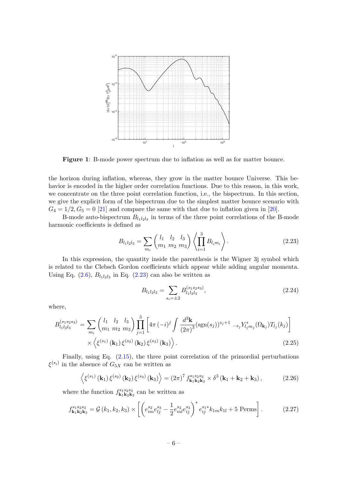<span id="page-6-0"></span>

Figure 1: B-mode power spectrum due to inflation as well as for matter bounce.

the horizon during inflation, whereas, they grow in the matter bounce Universe. This behavior is encoded in the higher order correlation functions. Due to this reason, in this work, we concentrate on the three point correlation function, i.e., the bispectrum. In this section, we give the explicit form of the bispectrum due to the simplest matter bounce scenario with  $G_4 = 1/2, G_5 = 0$  [\[21\]](#page-18-3) and compare the same with that due to inflation given in [\[20\]](#page-18-2).

B-mode auto-bispectrum  $B_{l_1l_2l_3}$  in terms of the three point correlations of the B-mode harmonic coefficients is defined as

<span id="page-6-1"></span>
$$
B_{l_1 l_2 l_3} = \sum_{m_i} \binom{l_1 \quad l_2 \quad l_3}{m_1 \quad m_2 \quad m_3} \left\langle \prod_{i=1}^3 B_{l_i m_i} \right\rangle. \tag{2.23}
$$

In this expression, the quantity inside the parenthesis is the Wigner 3j symbol which is related to the Clebsch Gordon coefficients which appear while adding angular momenta. Using Eq.  $(2.6)$ ,  $B_{l_1l_2l_3}$  in Eq.  $(2.23)$  can also be written as

<span id="page-6-4"></span>
$$
B_{l_1l_2l_3} = \sum_{s_i = \pm 2} B_{l_1l_2l_3}^{(s_1s_2s_3)},\tag{2.24}
$$

where,

<span id="page-6-3"></span>
$$
B_{l_1l_2l_3}^{(s_1s_2s_3)} = \sum_{m_i} \binom{l_1 \quad l_2 \quad l_3}{m_1 \quad m_2 \quad m_3} \prod_{j=1}^3 \left[ 4\pi \left( -i \right)^j \int \frac{d^3 \mathbf{k}}{(2\pi)^3} (\text{sgn}(s_j))^{s_j+1} \right. \\ \left. - s_j Y_{l_j m_j}^* (\Omega_{\mathbf{k}_j}) T_{l_j}(k_j) \right] \times \left\langle \xi^{(s_1)} \left( \mathbf{k}_1 \right) \xi^{(s_2)} \left( \mathbf{k}_2 \right) \xi^{(s_3)} \left( \mathbf{k}_3 \right) \right\rangle. \tag{2.25}
$$

Finally, using Eq. [\(2.15\)](#page-4-0), the three point correlation of the primordial perturbations  $\xi^{(s_i)}$  in the absence of  $G_{5X}$  can be written as

$$
\left\langle \xi^{(s_1)}\left(\mathbf{k}_1\right)\xi^{(s_2)}\left(\mathbf{k}_2\right)\xi^{(s_3)}\left(\mathbf{k}_3\right) \right\rangle = \left(2\pi\right)^7 f_{\mathbf{k}_1 \mathbf{k}_2 \mathbf{k}_3}^{s_1 s_2 s_3} \times \delta^3\left(\mathbf{k}_1 + \mathbf{k}_2 + \mathbf{k}_3\right),\tag{2.26}
$$

where the function  $f_{\mathbf{k}_1 \mathbf{k}_2 \mathbf{k}_3}^{s_1 s_2 s_3}$  $\mathbf{k}_1 \mathbf{k}_2 \mathbf{k}_3$  can be written as

<span id="page-6-2"></span>
$$
f_{\mathbf{k}_1 \mathbf{k}_2 \mathbf{k}_3}^{s_1 s_2 s_3} = \mathcal{G}(k_1, k_2, k_3) \times \left[ \left( e_{im}^{s_2} e_{lj}^{s_3} - \frac{1}{2} e_{ml}^{s_2} e_{ij}^{s_3} \right)^* e_{ij}^{s_1*} k_{1m} k_{1l} + 5 \text{ Perms} \right]. \tag{2.27}
$$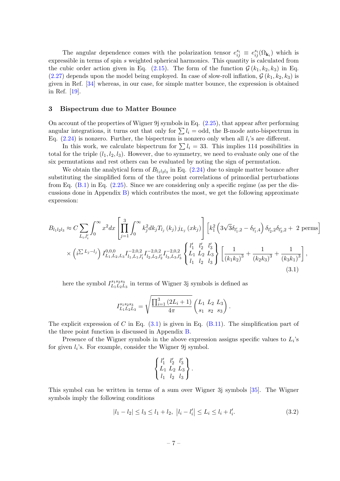The angular dependence comes with the polarization tensor  $e_{ij}^{s_i} \equiv e_{ij}^{s_i}(\Omega_{\mathbf{k}_i})$  which is expressible in terms of spin s weighted spherical harmonics. This quantity is calculated from the cubic order action given in Eq. [\(2.15\)](#page-4-0). The form of the function  $\mathcal{G}(k_1, k_2, k_3)$  in Eq. [\(2.27\)](#page-6-2) depends upon the model being employed. In case of slow-roll inflation,  $\mathcal{G}(k_1, k_2, k_3)$  is given in Ref. [\[34\]](#page-18-14) whereas, in our case, for simple matter bounce, the expression is obtained in Ref. [\[19\]](#page-18-1).

#### <span id="page-7-0"></span>3 Bispectrum due to Matter Bounce

On account of the properties of Wigner 9j symbols in Eq.  $(2.25)$ , that appear after performing angular integrations, it turns out that only for  $\sum l_i =$  odd, the B-mode auto-bispectrum in Eq.  $(2.24)$  is nonzero. Further, the bispectrum is nonzero only when all  $l_i$ 's are different.

In this work, we calculate bispectrum for  $\sum l_i = 33$ . This implies 114 possibilities in total for the triple  $(l_1, l_2, l_3)$ . However, due to symmetry, we need to evaluate only one of the six permutations and rest others can be evaluated by noting the sign of permutation.

We obtain the analytical form of  $B_{l_1l_2l_3}$  in Eq. [\(2.24\)](#page-6-4) due to simple matter bounce after substituting the simplified form of the three point correlations of primordial perturbations from Eq.  $(B.1)$  in Eq.  $(2.25)$ . Since we are considering only a specific regime (as per the discussions done in Appendix  $B$ ) which contributes the most, we get the following approximate expression:

$$
B_{l_1l_2l_3} \approx C \sum_{L_i,l'_i} \int_0^\infty x^2 dx \left[ \prod_{j=1}^3 \int_0^\infty k_j^2 dk_j T_{l_j}(k_j) j_{L_j}(x k_j) \right] \left[ k_1^2 \left( 3\sqrt{3} \delta_{l'_1,2} - \delta_{l'_1,4} \right) \delta_{l'_2,2} \delta_{l'_3,2} + 2 \text{ perms} \right]
$$
  
 
$$
\times \left( i^{\sum L_j - l_j} \right) I_{L_1,L_2,L_3}^{0,0,0} I_{l_1,L_1,l'_1}^{-2,0,2} I_{l_2,L_2,l'_2}^{-2,0,2} I_{l_3,L_3,l'_3}^{-2,0,2} \left\{ \frac{l'_1}{l_1} \frac{l'_2}{l_2} \frac{l'_3}{l_3} \right\} \left[ \frac{1}{(k_1 k_2)^3} + \frac{1}{(k_2 k_3)^3} + \frac{1}{(k_3 k_1)^3} \right],
$$
\n(3.1)

here the symbol  $I_{L_1L_2}^{s_1s_2s_3}$  $\frac{s_1 s_2 s_3}{L_1 L_2 L_3}$  in terms of Wigner 3j symbols is defined as

$$
I_{L_1L_2L_3}^{s_1s_2s_3} = \sqrt{\frac{\prod_{i=1}^3 (2L_i+1)}{4\pi}} \begin{pmatrix} L_1 & L_2 & L_3 \ s_1 & s_2 & s_3 \end{pmatrix}.
$$

The explicit expression of C in Eq.  $(3.1)$  is given in Eq.  $(B.11)$ . The simplification part of the three point function is discussed in Appendix [B.](#page-15-0)

Presence of the Wigner symbols in the above expression assigns specific values to  $L_i$ 's for given  $l_i$ 's. For example, consider the Wigner 9j symbol.

<span id="page-7-1"></span>
$$
\left\{\n \begin{array}{ccc}\n l'_1 & l'_2 & l'_3 \\
L_1 & L_2 & L_3 \\
l_1 & l_2 & l_3\n \end{array}\n \right\}.
$$

This symbol can be written in terms of a sum over Wigner 3j symbols [\[35\]](#page-18-15). The Wigner symbols imply the following conditions

<span id="page-7-2"></span>
$$
|l_1 - l_2| \le l_3 \le l_1 + l_2, \ |l_i - l'_i| \le L_i \le l_i + l'_i. \tag{3.2}
$$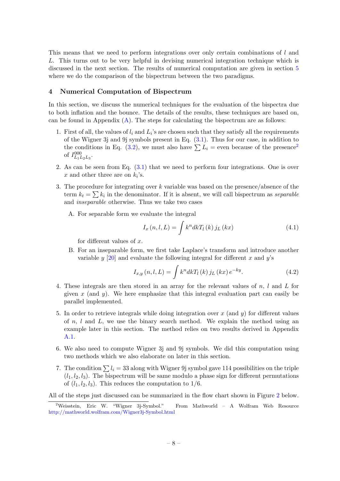This means that we need to perform integrations over only certain combinations of l and L. This turns out to be very helpful in devising numerical integration technique which is discussed in the next section. The results of numerical computation are given in section [5](#page-10-0) where we do the comparison of the bispectrum between the two paradigms.

# <span id="page-8-0"></span>4 Numerical Computation of Bispectrum

In this section, we discuss the numerical techniques for the evaluation of the bispectra due to both inflation and the bounce. The details of the results, these techniques are based on, can be found in Appendix  $(A)$ . The steps for calculating the bispectrum are as follows:

- 1. First of all, the values of  $l_i$  and  $L_i$ 's are chosen such that they satisfy all the requirements of the Wigner 3j and 9j symbols present in Eq. [\(3.1\)](#page-7-1). Thus for our case, in addition to the conditions in Eq. [\(3.2\)](#page-7-2), we must also have  $\sum L_i$  = even because of the presence<sup>[2](#page-8-1)</sup> of  $I_{L_1L_2L_3}^{000}$ .
- 2. As can be seen from Eq. [\(3.1\)](#page-7-1) that we need to perform four integrations. One is over x and other three are on  $k_i$ 's.
- 3. The procedure for integrating over k variable was based on the presence/absence of the term  $k_t = \sum k_i$  in the denominator. If it is absent, we will call bispectrum as separable and inseparable otherwise. Thus we take two cases
	- A. For separable form we evaluate the integral

<span id="page-8-2"></span>
$$
I_{x}\left(n,l,L\right) = \int k^{n}dkT_{l}\left(k\right)j_{L}\left(kx\right) \tag{4.1}
$$

for different values of  $x$ .

B. For an inseparable form, we first take Laplace's transform and introduce another variable y [\[20\]](#page-18-2) and evaluate the following integral for different x and y's

<span id="page-8-3"></span>
$$
I_{x,y}(n,l,L) = \int k^n dk T_l(k) j_L(kx) e^{-ky}.
$$
 (4.2)

- 4. These integrals are then stored in an array for the relevant values of n, l and L for given  $x$  (and  $y$ ). We here emphasize that this integral evaluation part can easily be parallel implemented.
- 5. In order to retrieve integrals while doing integration over  $x$  (and  $y$ ) for different values of  $n, l$  and  $L$ , we use the binary search method. We explain the method using an example later in this section. The method relies on two results derived in Appendix [A.1.](#page-13-1)
- 6. We also need to compute Wigner 3j and 9j symbols. We did this computation using two methods which we also elaborate on later in this section.
- 7. The condition  $\sum l_i = 33$  along with Wigner 9j symbol gave 114 possibilities on the triple  $(l_1, l_2, l_3)$ . The bispectrum will be same modulo a phase sign for different permutations of  $(l_1, l_2, l_3)$ . This reduces the computation to 1/6.

All of the steps just discussed can be summarized in the flow chart shown in Figure [2](#page-9-2) below.

<span id="page-8-1"></span><sup>2</sup>Weisstein, Eric W. "Wigner 3j-Symbol." From Mathworld – A Wolfram Web Resource <http://mathworld.wolfram.com/Wigner3j-Symbol.html>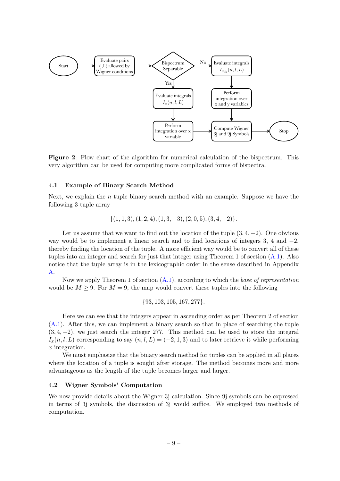<span id="page-9-2"></span>

Figure 2: Flow chart of the algorithm for numerical calculation of the bispectrum. This very algorithm can be used for computing more complicated forms of bispectra.

#### <span id="page-9-0"></span>4.1 Example of Binary Search Method

Next, we explain the  $n$  tuple binary search method with an example. Suppose we have the following 3 tuple array

$$
\{(1,1,3), (1,2,4), (1,3,-3), (2,0,5), (3,4,-2)\}.
$$

Let us assume that we want to find out the location of the tuple  $(3, 4, -2)$ . One obvious way would be to implement a linear search and to find locations of integers 3, 4 and  $-2$ , thereby finding the location of the tuple. A more efficient way would be to convert all of these tuples into an integer and search for just that integer using Theorem 1 of section [\(A.1\)](#page-13-1). Also notice that the tuple array is in the lexicographic order in the sense described in Appendix [A.](#page-13-0)

Now we apply Theorem 1 of section  $(A.1)$ , according to which the base of representation would be  $M \geq 9$ . For  $M = 9$ , the map would convert these tuples into the following

$$
{93, 103, 105, 167, 277}.
$$

Here we can see that the integers appear in ascending order as per Theorem 2 of section [\(A.1\)](#page-13-1). After this, we can implement a binary search so that in place of searching the tuple  $(3, 4, -2)$ , we just search the integer 277. This method can be used to store the integral  $I_x(n, l, L)$  corresponding to say  $(n, l, L) = (-2, 1, 3)$  and to later retrieve it while performing x integration.

We must emphasize that the binary search method for tuples can be applied in all places where the location of a tuple is sought after storage. The method becomes more and more advantageous as the length of the tuple becomes larger and larger.

#### <span id="page-9-1"></span>4.2 Wigner Symbols' Computation

We now provide details about the Wigner 3j calculation. Since 9j symbols can be expressed in terms of 3j symbols, the discussion of 3j would suffice. We employed two methods of computation.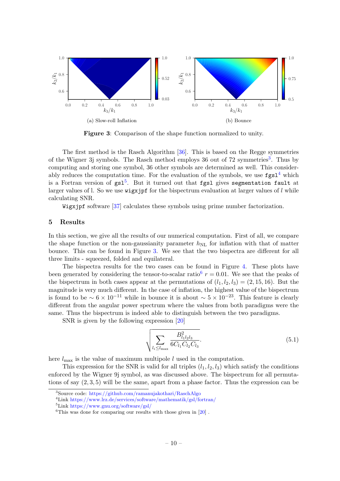<span id="page-10-4"></span>

Figure 3: Comparison of the shape function normalized to unity.

The first method is the Rasch Algorithm [\[36\]](#page-18-16). This is based on the Regge symmetries of the Wigner [3](#page-10-1)j symbols. The Rasch method employs 36 out of 72 symmetries<sup>3</sup>. Thus by computing and storing one symbol, 36 other symbols are determined as well. This considerably reduces the computation time. For the evaluation of the symbols, we use  $fgsl<sup>4</sup>$  $fgsl<sup>4</sup>$  $fgsl<sup>4</sup>$  which is a Fortran version of  $gs1<sup>5</sup>$  $gs1<sup>5</sup>$  $gs1<sup>5</sup>$ . But it turned out that f $gs1$  gives segmentation fault at larger values of l. So we use wigxjpf for the bispectrum evaluation at larger values of  $l$  while calculating SNR.

Wigxjpf software [\[37\]](#page-19-0) calculates these symbols using prime number factorization.

#### <span id="page-10-0"></span>5 Results

In this section, we give all the results of our numerical computation. First of all, we compare the shape function or the non-gaussianity parameter  $h_{\text{NL}}$  for inflation with that of matter bounce. This can be found in Figure [3.](#page-10-4) We see that the two bispectra are different for all three limits - squeezed, folded and equilateral.

The bispectra results for the two cases can be found in Figure [4.](#page-11-1) These plots have been generated by considering the tensor-to-scalar ratio<sup>[6](#page-10-5)</sup>  $r = 0.01$ . We see that the peaks of the bispectrum in both cases appear at the permutations of  $(l_1, l_2, l_3) = (2, 15, 16)$ . But the magnitude is very much different. In the case of inflation, the highest value of the bispectrum is found to be  $\sim 6 \times 10^{-11}$  while in bounce it is about  $\sim 5 \times 10^{-23}$ . This feature is clearly different from the angular power spectrum where the values from both paradigms were the same. Thus the bispectrum is indeed able to distinguish between the two paradigms.

SNR is given by the following expression [\[20\]](#page-18-2)

$$
\sqrt{\sum_{l_i \le l_{\text{max}}} \frac{B_{l_1 l_2 l_3}^2}{6C_{l_1} C_{l_2} C_{l_3}}}.
$$
\n(5.1)

here  $l_{\text{max}}$  is the value of maximum multipole l used in the computation.

This expression for the SNR is valid for all triples  $(l_1, l_2, l_3)$  which satisfy the conditions enforced by the Wigner 9j symbol, as was discussed above. The bispectrum for all permutations of say  $(2,3,5)$  will be the same, apart from a phase factor. Thus the expression can be

<span id="page-10-1"></span><sup>3</sup>Source code: <https://github.com/ramanujakothari/RaschAlgo>

<span id="page-10-2"></span><sup>4</sup>Link <https://www.lrz.de/services/software/mathematik/gsl/fortran/>

<span id="page-10-3"></span><sup>5</sup>Link <https://www.gnu.org/software/gsl/>

<span id="page-10-5"></span><sup>&</sup>lt;sup>6</sup>This was done for comparing our results with those given in  $[20]$ .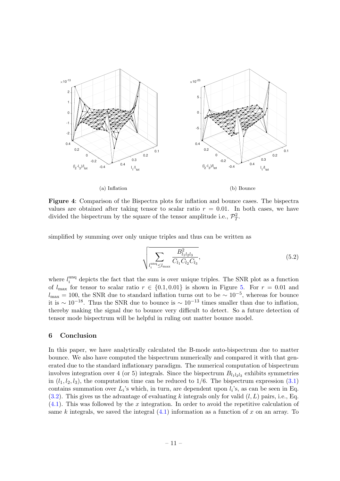<span id="page-11-1"></span>

(a) Inflation

(b) Bounce

Figure 4: Comparison of the Bispectra plots for inflation and bounce cases. The bispectra values are obtained after taking tensor to scalar ratio  $r = 0.01$ . In both cases, we have divided the bispectrum by the square of the tensor amplitude i.e.,  $\mathcal{P}_T^2$ .

simplified by summing over only unique triples and thus can be written as

$$
\sqrt{\sum_{l_i^{\text{unq}} \le l_{\text{max}}} \frac{B_{l_1l_2l_3}^2}{C_{l_1}C_{l_2}C_{l_3}}},\tag{5.2}
$$

where  $l_i^{\text{unq}}$  $i$ <sup>thq</sup> depicts the fact that the sum is over unique triples. The SNR plot as a function of  $l_{\text{max}}$  for tensor to scalar ratio  $r \in \{0.1, 0.01\}$  is shown in Figure [5.](#page-12-1) For  $r = 0.01$  and  $l_{\text{max}} = 100$ , the SNR due to standard inflation turns out to be  $\sim 10^{-5}$ , whereas for bounce it is  $\sim 10^{-18}$ . Thus the SNR due to bounce is  $\sim 10^{-13}$  times smaller than due to inflation, thereby making the signal due to bounce very difficult to detect. So a future detection of tensor mode bispectrum will be helpful in ruling out matter bounce model.

## <span id="page-11-0"></span>6 Conclusion

In this paper, we have analytically calculated the B-mode auto-bispectrum due to matter bounce. We also have computed the bispectrum numerically and compared it with that generated due to the standard inflationary paradigm. The numerical computation of bispectrum involves integration over 4 (or 5) integrals. Since the bispectrum  $B_{l_1l_2l_3}$  exhibits symmetries in  $(l_1, l_2, l_3)$ , the computation time can be reduced to 1/6. The bispectrum expression  $(3.1)$ contains summation over  $L_i$ 's which, in turn, are dependent upon  $l_i$ 's, as can be seen in Eq.  $(3.2)$ . This gives us the advantage of evaluating k integrals only for valid  $(l, L)$  pairs, i.e., Eq. [\(4.1\)](#page-8-2). This was followed by the x integration. In order to avoid the repetitive calculation of same k integrals, we saved the integral  $(4.1)$  information as a function of x on an array. To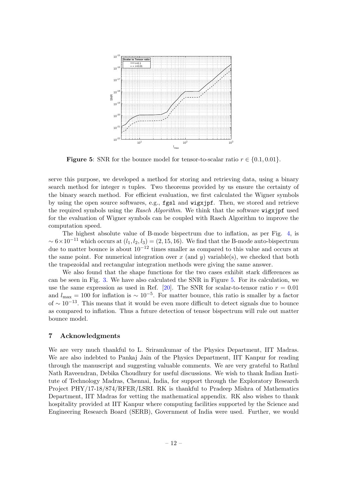<span id="page-12-1"></span>

**Figure 5:** SNR for the bounce model for tensor-to-scalar ratio  $r \in \{0.1, 0.01\}$ .

serve this purpose, we developed a method for storing and retrieving data, using a binary search method for integer n tuples. Two theorems provided by us ensure the certainty of the binary search method. For efficient evaluation, we first calculated the Wigner symbols by using the open source softwares, e.g., fgsl and wigxjpf. Then, we stored and retrieve the required symbols using the Rasch Algorithm. We think that the software wigxjpf used for the evaluation of Wigner symbols can be coupled with Rasch Algorithm to improve the computation speed.

The highest absolute value of B-mode bispectrum due to inflation, as per Fig. [4,](#page-11-1) is  $\sim 6 \times 10^{-11}$  which occurs at  $(l_1, l_2, l_3) = (2, 15, 16)$ . We find that the B-mode auto-bispectrum due to matter bounce is about  $10^{-12}$  times smaller as compared to this value and occurs at the same point. For numerical integration over x (and y) variable(s), we checked that both the trapezoidal and rectangular integration methods were giving the same answer.

We also found that the shape functions for the two cases exhibit stark differences as can be seen in Fig. [3.](#page-10-4) We have also calculated the SNR in Figure [5.](#page-12-1) For its calculation, we use the same expression as used in Ref. [\[20\]](#page-18-2). The SNR for scalar-to-tensor ratio  $r = 0.01$ and  $l_{\text{max}} = 100$  for inflation is  $\sim 10^{-5}$ . For matter bounce, this ratio is smaller by a factor of  $\sim 10^{-13}$ . This means that it would be even more difficult to detect signals due to bounce as compared to inflation. Thus a future detection of tensor bispectrum will rule out matter bounce model.

#### <span id="page-12-0"></span>7 Acknowledgments

We are very much thankful to L. Sriramkumar of the Physics Department, IIT Madras. We are also indebted to Pankaj Jain of the Physics Department, IIT Kanpur for reading through the manuscript and suggesting valuable comments. We are very grateful to Rathul Nath Raveendran, Debika Choudhury for useful discussions. We wish to thank Indian Institute of Technology Madras, Chennai, India, for support through the Exploratory Research Project PHY/17-18/874/RFER/LSRI. RK is thankful to Pradeep Mishra of Mathematics Department, IIT Madras for vetting the mathematical appendix. RK also wishes to thank hospitality provided at IIT Kanpur where computing facilities supported by the Science and Engineering Research Board (SERB), Government of India were used. Further, we would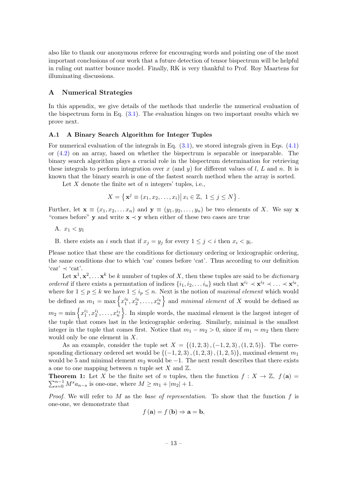also like to thank our anonymous referee for encouraging words and pointing one of the most important conclusions of our work that a future detection of tensor bispectrum will be helpful in ruling out matter bounce model. Finally, RK is very thankful to Prof. Roy Maartens for illuminating discussions.

#### <span id="page-13-0"></span>A Numerical Strategies

In this appendix, we give details of the methods that underlie the numerical evaluation of the bispectrum form in Eq.  $(3.1)$ . The evaluation hinges on two important results which we prove next.

#### <span id="page-13-1"></span>A.1 A Binary Search Algorithm for Integer Tuples

For numerical evaluation of the integrals in Eq. [\(3.1\)](#page-7-1), we stored integrals given in Eqs. [\(4.1\)](#page-8-2) or [\(4.2\)](#page-8-3) on an array, based on whether the bispectrum is separable or inseparable. The binary search algorithm plays a crucial role in the bispectrum determination for retrieving these integrals to perform integration over x (and y) for different values of  $l, L$  and n. It is known that the binary search is one of the fastest search method when the array is sorted.

Let  $X$  denote the finite set of  $n$  integers' tuples, i.e.,

$$
X = \left\{ \mathbf{x}^j \equiv (x_1, x_2, \dots, x_i) \middle| \ x_i \in \mathbb{Z}, \ 1 \le j \le N \right\}.
$$

Further, let  $\mathbf{x} \equiv (x_1, x_2, \dots x_n)$  and  $\mathbf{y} \equiv (y_1, y_2, \dots, y_n)$  be two elements of X. We say  $\mathbf{x}$ "comes before" y and write  $x \prec y$  when either of these two cases are true

A.  $x_1 < y_1$ 

B. there exists an i such that if  $x_j = y_j$  for every  $1 \leq j \leq i$  then  $x_i \leq y_i$ .

Please notice that these are the conditions for dictionary ordering or lexicographic ordering, the same conditions due to which 'car' comes before 'cat'. Thus according to our definition  $'car' \prec 'cat'.$ 

Let  $\mathbf{x}^1, \mathbf{x}^2, \ldots, \mathbf{x}^k$  be k number of tuples of X, then these tuples are said to be *dictionary* ordered if there exists a permutation of indices  $\{i_1, i_2, \ldots i_n\}$  such that  $\mathbf{x}^{i_1} \prec \mathbf{x}^{i_2} \prec \ldots \prec \mathbf{x}^{i_k}$ , where for  $1 \le p \le k$  we have  $1 \le i_p \le n$ . Next is the notion of maximal element which would be defined as  $m_1 = \max \left\{ x_1^{i_k}, x_2^{i_k}, \ldots, x_n^{i_k} \right\}$  and minimal element of X would be defined as  $m_2 = \min \left\{ x_1^{i_1}, x_2^{i_1}, \ldots, x_n^{i_1} \right\}$ . In simple words, the maximal element is the largest integer of the tuple that comes last in the lexicographic ordering. Similarly, minimal is the smallest integer in the tuple that comes first. Notice that  $m_1 - m_2 > 0$ , since if  $m_1 = m_2$  then there would only be one element in X.

As an example, consider the tuple set  $X = \{(1, 2, 3), (-1, 2, 3), (1, 2, 5)\}\.$  The corresponding dictionary ordered set would be  $\{(-1, 2, 3), (1, 2, 3), (1, 2, 5)\}\$ , maximal element  $m_1$ would be 5 and minimal element  $m_2$  would be  $-1$ . The next result describes that there exists a one to one mapping between n tuple set X and  $\mathbb{Z}$ .

**Theorem 1:** Let X be the finite set of n tuples, then the function  $f: X \to \mathbb{Z}$ ,  $f(\mathbf{a}) =$  $\sum_{s=0}^{n-1} M^s a_{n-s}$  is one-one, where  $M \ge m_1 + |m_2| + 1$ .

*Proof.* We will refer to M as the base of representation. To show that the function f is one-one, we demonstrate that

$$
f\left(\mathbf{a}\right) = f\left(\mathbf{b}\right) \Rightarrow \mathbf{a} = \mathbf{b},
$$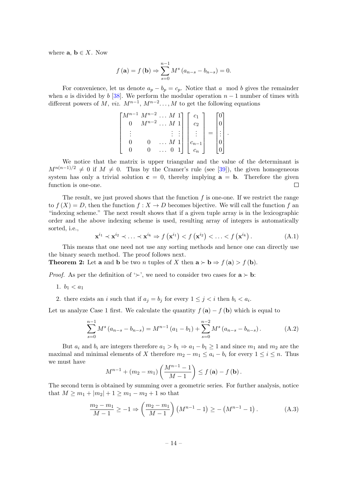where  $\mathbf{a}, \mathbf{b} \in X$ . Now

$$
f(\mathbf{a}) = f(\mathbf{b}) \Rightarrow \sum_{s=0}^{n-1} M^s (a_{n-s} - b_{n-s}) = 0.
$$

For convenience, let us denote  $a_p - b_p = c_p$ . Notice that a mod b gives the remainder when a is divided by b [\[38\]](#page-19-1). We perform the modular operation  $n-1$  number of times with different powers of M, viz.  $M^{n-1}$ ,  $M^{n-2}$ ..., M to get the following equations

| $\sqrt{n-1}$ | $M^{n-2}$ |   | $M_1$ |     |     |  |
|--------------|-----------|---|-------|-----|-----|--|
|              | $M^{n-2}$ | M |       | C9. |     |  |
|              |           |   |       |     | $=$ |  |
|              |           |   |       |     |     |  |
|              |           |   |       |     |     |  |

We notice that the matrix is upper triangular and the value of the determinant is  $M^{n(n-1)/2} \neq 0$  if  $M \neq 0$ . Thus by the Cramer's rule (see [\[39\]](#page-19-2)), the given homogeneous system has only a trivial solution  $c = 0$ , thereby implying  $a = b$ . Therefore the given function is one-one.  $\Box$ 

The result, we just proved shows that the function  $f$  is one-one. If we restrict the range to  $f(X) = D$ , then the function  $f: X \to D$  becomes bijective. We will call the function f an "indexing scheme." The next result shows that if a given tuple array is in the lexicographic order and the above indexing scheme is used, resulting array of integers is automatically sorted, i.e.,

$$
\mathbf{x}^{i_1} \prec \mathbf{x}^{i_2} \prec \ldots \prec \mathbf{x}^{i_k} \Rightarrow f\left(\mathbf{x}^{i_1}\right) < f\left(\mathbf{x}^{i_2}\right) < \ldots < f\left(\mathbf{x}^{i_k}\right). \tag{A.1}
$$

This means that one need not use any sorting methods and hence one can directly use the binary search method. The proof follows next.

**Theorem 2:** Let **a** and **b** be two *n* tuples of X then  $\mathbf{a} \succ \mathbf{b} \Rightarrow f(\mathbf{a}) > f(\mathbf{b})$ .

*Proof.* As per the definition of ' $\succ$ ', we need to consider two cases for  $\mathbf{a} \succ \mathbf{b}$ :

1.  $b_1 < a_1$ 

2. there exists an i such that if  $a_j = b_j$  for every  $1 \leq j < i$  then  $b_i < a_i$ .

Let us analyze Case 1 first. We calculate the quantity  $f(\mathbf{a}) - f(\mathbf{b})$  which is equal to

$$
\sum_{s=0}^{n-1} M^s (a_{n-s} - b_{n-s}) = M^{n-1} (a_1 - b_1) + \sum_{s=0}^{n-2} M^s (a_{n-s} - b_{n-s}).
$$
 (A.2)

But  $a_i$  and  $b_i$  are integers therefore  $a_1 > b_1 \Rightarrow a_1 - b_1 \ge 1$  and since  $m_1$  and  $m_2$  are the maximal and minimal elements of X therefore  $m_2 - m_1 \le a_i - b_i$  for every  $1 \le i \le n$ . Thus we must have

$$
M^{n-1} + (m_2 - m_1) \left( \frac{M^{n-1} - 1}{M - 1} \right) \le f(\mathbf{a}) - f(\mathbf{b}).
$$

The second term is obtained by summing over a geometric series. For further analysis, notice that  $M \geq m_1 + |m_2| + 1 \geq m_1 - m_2 + 1$  so that

$$
\frac{m_2 - m_1}{M - 1} \ge -1 \Rightarrow \left(\frac{m_2 - m_1}{M - 1}\right) \left(M^{n-1} - 1\right) \ge -\left(M^{n-1} - 1\right). \tag{A.3}
$$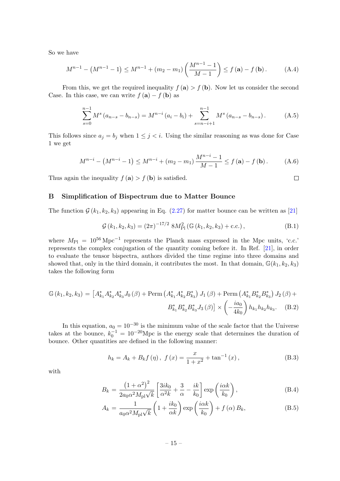So we have

$$
M^{n-1} - (M^{n-1} - 1) \le M^{n-1} + (m_2 - m_1) \left(\frac{M^{n-1} - 1}{M - 1}\right) \le f(\mathbf{a}) - f(\mathbf{b}). \tag{A.4}
$$

From this, we get the required inequality  $f(\mathbf{a}) > f(\mathbf{b})$ . Now let us consider the second Case. In this case, we can write  $f(\mathbf{a}) - f(\mathbf{b})$  as

$$
\sum_{s=0}^{n-1} M^s (a_{n-s} - b_{n-s}) = M^{n-i} (a_i - b_i) + \sum_{s=n-i+1}^{n-1} M^s (a_{n-s} - b_{n-s}).
$$
 (A.5)

This follows since  $a_j = b_j$  when  $1 \leq j < i$ . Using the similar reasoning as was done for Case 1 we get

$$
M^{n-i} - (M^{n-i} - 1) \le M^{n-i} + (m_2 - m_1) \frac{M^{n-i} - 1}{M - 1} \le f(\mathbf{a}) - f(\mathbf{b}). \tag{A.6}
$$

Thus again the inequality  $f(\mathbf{a}) > f(\mathbf{b})$  is satisfied.

# <span id="page-15-0"></span>B Simplification of Bispectrum due to Matter Bounce

The function  $\mathcal{G}(k_1, k_2, k_3)$  appearing in Eq. [\(2.27\)](#page-6-2) for matter bounce can be written as [\[21\]](#page-18-3)

<span id="page-15-1"></span>
$$
\mathcal{G}(k_1, k_2, k_3) = (2\pi)^{-17/2} 8M_{\text{Pl}}^2(\mathbb{G}(k_1, k_2, k_3) + \text{c.c.}),
$$
\n(B.1)

where  $M_{\rm Pl} = 10^{56} \,\rm Mpc^{-1}$  represents the Planck mass expressed in the Mpc units, 'c.c.' represents the complex conjugation of the quantity coming before it. In Ref. [\[21\]](#page-18-3), in order to evaluate the tensor bispectra, authors divided the time regime into three domains and showed that, only in the third domain, it contributes the most. In that domain,  $\mathbb{G}(k_1, k_2, k_3)$ takes the following form

$$
\mathbb{G}(k_1, k_2, k_3) = \left[A_{k_1}^* A_{k_2}^* A_{k_3}^* J_0(\beta) + \text{Perm}\left(A_{k_1}^* A_{k_2}^* B_{k_3}^*\right) J_1(\beta) + \text{Perm}\left(A_{k_1}^* B_{k_2}^* B_{k_3}^*\right) J_2(\beta) + B_{k_1}^* B_{k_2}^* B_{k_3}^* J_3(\beta)\right] \times \left(-\frac{ia_0}{4k_0}\right) h_{k_1} h_{k_2} h_{k_3}.
$$
 (B.2)

In this equation,  $a_0 = 10^{-30}$  is the minimum value of the scale factor that the Universe takes at the bounce,  $k_0^{-1} = 10^{-20}$ Mpc is the energy scale that determines the duration of bounce. Other quantities are defined in the following manner:

<span id="page-15-2"></span>
$$
h_k = A_k + B_k f(\eta), \ f(x) = \frac{x}{1+x^2} + \tan^{-1}(x), \tag{B.3}
$$

with

$$
B_k = \frac{\left(1+\alpha^2\right)^2}{2a_0\alpha^2 M_{\rm pl}\sqrt{k}} \left[\frac{3ik_0}{\alpha^2 k} + \frac{3}{\alpha} - \frac{ik}{k_0}\right] \exp\left(\frac{i\alpha k}{k_0}\right),\tag{B.4}
$$

$$
A_{k} = \frac{1}{a_{0}\alpha^{2}M_{\rm pl}\sqrt{k}}\left(1 + \frac{ik_{0}}{\alpha k}\right)\exp\left(\frac{i\alpha k}{k_{0}}\right) + f\left(\alpha\right)B_{k},\tag{B.5}
$$

 $\Box$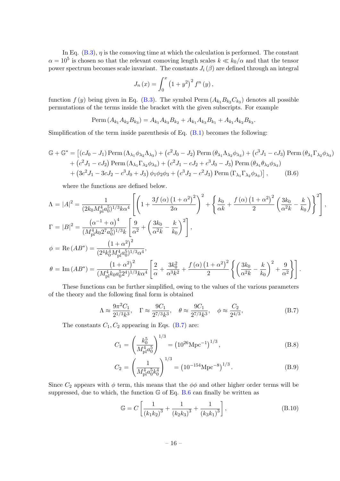In Eq.  $(B.3)$ ,  $\eta$  is the comoving time at which the calculation is performed. The constant  $\alpha = 10^5$  is chosen so that the relevant comoving length scales  $k \ll k_0/\alpha$  and that the tensor power spectrum becomes scale invariant. The constants  $J_i(\beta)$  are defined through an integral

$$
J_n(x) = \int_0^x (1 + y^2)^2 f^n(y),
$$

function  $f(y)$  being given in Eq. [\(B.3\)](#page-15-2). The symbol Perm  $(A_{k_1}B_{k_2}C_{k_3})$  denotes all possible permutations of the terms inside the bracket with the given subscripts. For example

<span id="page-16-1"></span>
$$
\text{Perm}\left(A_{k_1}A_{k_2}B_{k_3}\right) = A_{k_1}A_{k_3}B_{k_2} + A_{k_1}A_{k_3}B_{k_1} + A_{k_1}A_{k_2}B_{k_3}.
$$

Simplification of the term inside parenthesis of Eq. [\(B.1\)](#page-15-1) becomes the following:

$$
\mathbb{G} + \mathbb{G}^* = \left[ (cJ_0 - J_1) \text{Perm} \left( \Lambda_{\lambda_1} \phi_{\lambda_2} \Lambda_{\lambda_3} \right) + \left( c^2 J_0 - J_2 \right) \text{Perm} \left( \theta_{\lambda_1} \Lambda_{\lambda_2} \phi_{\lambda_3} \right) + \left( c^3 J_1 - c J_3 \right) \text{Perm} \left( \theta_{\lambda_1} \Gamma_{\lambda_2} \phi_{\lambda_3} \right) + \left( c^2 J_1 - c J_2 \right) \text{Perm} \left( \Lambda_{\lambda_1} \Gamma_{\lambda_2} \phi_{\lambda_3} \right) + \left( c^2 J_1 - c J_2 + c^3 J_0 - J_3 \right) \text{Perm} \left( \theta_{\lambda_1} \theta_{\lambda_2} \phi_{\lambda_3} \right) + \left( 3c^2 J_1 - 3c J_2 - c^3 J_0 + J_3 \right) \phi_1 \phi_2 \phi_3 + \left( c^3 J_2 - c^2 J_3 \right) \text{Perm} \left( \Gamma_{\lambda_1} \Gamma_{\lambda_2} \phi_{\lambda_3} \right) \right], \tag{B.6}
$$

where the functions are defined below.

$$
\Lambda = |A|^2 = \frac{1}{(2k_0 M_{\rm pl}^4 a_0^5)^{1/3} k \alpha^4} \left[ \left( 1 + \frac{3f(\alpha) (1 + \alpha^2)^2}{2\alpha} \right)^2 + \left\{ \frac{k_0}{\alpha k} + \frac{f(\alpha) (1 + \alpha^2)^2}{2} \left( \frac{3k_0}{\alpha^2 k} - \frac{k}{k_0} \right) \right\}^2 \right],
$$
  
\n
$$
\Gamma = |B|^2 = \frac{(\alpha^{-1} + \alpha)^4}{(M_{\rm pl}^4 k_0 2^7 a_0^5)^{1/3} k} \left[ \frac{9}{\alpha^2} + \left( \frac{3k_0}{\alpha^2 k} - \frac{k}{k_0} \right)^2 \right],
$$
  
\n
$$
\phi = \text{Re}\,(AB^*) = \frac{(1 + \alpha^2)^2}{(2^4 k_0^4 M_{\rm pl}^4 a_0^5)^{1/3} \alpha^4},
$$
  
\n
$$
\theta = \text{Im}\,(AB^*) = \frac{(1 + \alpha^2)^2}{(M_{\rm pl}^4 k_0 a_0^5 2^4)^{1/3} k \alpha^4} \left[ \frac{2}{\alpha} + \frac{3k_0^2}{\alpha^3 k^2} + \frac{f(\alpha) (1 + \alpha^2)^2}{2} \left\{ \left( \frac{3k_0}{\alpha^2 k} - \frac{k}{k_0} \right)^2 + \frac{9}{\alpha^2} \right\} \right].
$$

These functions can be further simplified, owing to the values of the various parameters of the theory and the following final form is obtained

<span id="page-16-0"></span>
$$
\Lambda \approx \frac{9\pi^2 C_1}{2^{1/3} k^3}, \quad \Gamma \approx \frac{9C_1}{2^{7/3} k^3}, \quad \theta \approx \frac{9C_1}{2^{7/3} k^3}, \quad \phi \approx \frac{C_2}{2^{4/3}},\tag{B.7}
$$

The constants  $C_1, C_2$  appearing in Eqs. [\(B.7\)](#page-16-0) are:

$$
C_1 = \left(\frac{k_0^5}{M_{\rm pl}^4 a_0^5}\right)^{1/3} = \left(10^{26} \text{Mpc}^{-1}\right)^{1/3},\tag{B.8}
$$

$$
C_2 = \left(\frac{1}{M_{\rm pl}^4 a_0^5 k_0^4}\right)^{1/3} = \left(10^{-154} \text{Mpc}^{-8}\right)^{1/3}.\tag{B.9}
$$

Since  $C_2$  appears with  $\phi$  term, this means that the  $\phi\phi$  and other higher order terms will be suppressed, due to which, the function  $\mathbb{G}$  of Eq. [B.6](#page-16-1) can finally be written as

$$
\mathbb{G} = C \left[ \frac{1}{\left(k_1 k_2\right)^3} + \frac{1}{\left(k_2 k_3\right)^3} + \frac{1}{\left(k_3 k_1\right)^3} \right],\tag{B.10}
$$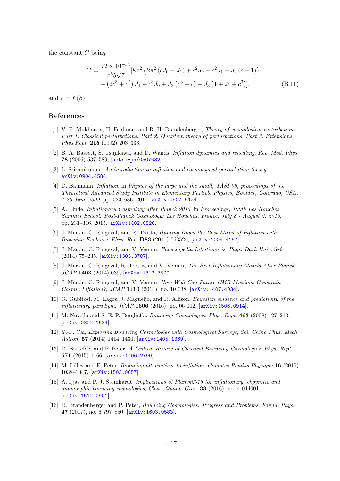the constant  $C$  being

<span id="page-17-6"></span>
$$
C = \frac{72 \times 10^{-34}}{\pi^6 5\sqrt{7}} [8\pi^2 \{2\pi^2 (cJ_0 - J_1) + c^2 J_0 + c^2 J_1 - J_2 (c+1)\} + (2c^3 + c^2) J_1 + c^3 J_0 + J_2 (c^3 - c) - J_3 (1 + 2c + c^3)],
$$
(B.11)

and  $c = f(\beta)$ .

# References

- <span id="page-17-0"></span>[1] V. F. Mukhanov, H. Feldman, and R. H. Brandenberger, Theory of cosmological perturbations. Part 1. Classical perturbations. Part 2. Quantum theory of perturbations. Part 3. Extensions, Phys.Rept. 215 (1992) 203–333.
- [2] B. A. Bassett, S. Tsujikawa, and D. Wands, Inflation dynamics and reheating, Rev. Mod. Phys. 78 (2006) 537–589, [[astro-ph/0507632](http://arxiv.org/abs/astro-ph/0507632)].
- [3] L. Sriramkumar, An introduction to inflation and cosmological perturbation theory, [arXiv:0904.4584](http://arxiv.org/abs/0904.4584).
- [4] D. Baumann, Inflation, in Physics of the large and the small, TASI 09, proceedings of the Theoretical Advanced Study Institute in Elementary Particle Physics, Boulder, Colorado, USA, 1-26 June 2009, pp. 523–686, 2011. [arXiv:0907.5424](http://arxiv.org/abs/0907.5424).
- <span id="page-17-1"></span>[5] A. Linde, Inflationary Cosmology after Planck 2013, in Proceedings, 100th Les Houches Summer School: Post-Planck Cosmology: Les Houches, France, July 8 - August 2, 2013, pp. 231–316, 2015. [arXiv:1402.0526](http://arxiv.org/abs/1402.0526).
- <span id="page-17-2"></span>[6] J. Martin, C. Ringeval, and R. Trotta, Hunting Down the Best Model of Inflation with Bayesian Evidence, Phys. Rev. D83 (2011) 063524, [[arXiv:1009.4157](http://arxiv.org/abs/1009.4157)].
- [7] J. Martin, C. Ringeval, and V. Vennin, Encyclopedia Inflationaris, Phys. Dark Univ. 5-6 (2014) 75–235, [[arXiv:1303.3787](http://arxiv.org/abs/1303.3787)].
- [8] J. Martin, C. Ringeval, R. Trotta, and V. Vennin, The Best Inflationary Models After Planck, JCAP 1403 (2014) 039, [[arXiv:1312.3529](http://arxiv.org/abs/1312.3529)].
- [9] J. Martin, C. Ringeval, and V. Vennin, How Well Can Future CMB Missions Constrain Cosmic Inflation?, JCAP 1410 (2014), no. 10 038,  $[ary1407.4034]$ .
- <span id="page-17-3"></span>[10] G. Gubitosi, M. Lagos, J. Magueijo, and R. Allison, Bayesian evidence and predictivity of the inflationary paradigm,  $JCAP$  1606 (2016), no. 06 002,  $[$ [arXiv:1506.0914](http://arxiv.org/abs/1506.0914)].
- <span id="page-17-4"></span>[11] M. Novello and S. E. P. Bergliaffa, Bouncing Cosmologies, Phys. Rept. 463 (2008) 127–213, [[arXiv:0802.1634](http://arxiv.org/abs/0802.1634)].
- [12] Y.-F. Cai, Exploring Bouncing Cosmologies with Cosmological Surveys, Sci. China Phys. Mech. Astron. 57 (2014) 1414–1430, [[arXiv:1405.1369](http://arxiv.org/abs/1405.1369)].
- [13] D. Battefeld and P. Peter, A Critical Review of Classical Bouncing Cosmologies, Phys. Rept. 571 (2015) 1–66, [[arXiv:1406.2790](http://arxiv.org/abs/1406.2790)].
- [14] M. Lilley and P. Peter, Bouncing alternatives to inflation, Comptes Rendus Physique 16 (2015) 1038–1047, [[arXiv:1503.0657](http://arxiv.org/abs/1503.0657)].
- [15] A. Ijjas and P. J. Steinhardt, Implications of Planck2015 for inflationary, ekpyrotic and anamorphic bouncing cosmologies, Class. Quant. Grav. 33 (2016), no. 4 044001, [[arXiv:1512.0901](http://arxiv.org/abs/1512.0901)].
- <span id="page-17-5"></span>[16] R. Brandenberger and P. Peter, Bouncing Cosmologies: Progress and Problems, Found. Phys. 47 (2017), no. 6 797–850, [[arXiv:1603.0583](http://arxiv.org/abs/1603.0583)].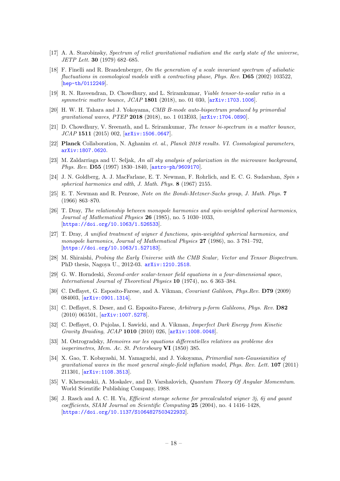- <span id="page-18-0"></span>[17] A. A. Starobinsky, Spectrum of relict gravitational radiation and the early state of the universe, JETP Lett. 30 (1979) 682–685.
- [18] F. Finelli and R. Brandenberger, On the generation of a scale invariant spectrum of adiabatic fluctuations in cosmological models with a contracting phase, Phys. Rev. **D65** (2002) 103522, [[hep-th/0112249](http://arxiv.org/abs/hep-th/0112249)].
- <span id="page-18-1"></span>[19] R. N. Raveendran, D. Chowdhury, and L. Sriramkumar, Viable tensor-to-scalar ratio in a symmetric matter bounce, JCAP 1801 (2018), no. 01 030, [[arXiv:1703.1006](http://arxiv.org/abs/1703.1006)].
- <span id="page-18-2"></span>[20] H. W. H. Tahara and J. Yokoyama, CMB B-mode auto-bispectrum produced by primordial gravitational waves, PTEP 2018 (2018), no. 1 013E03, [[arXiv:1704.0890](http://arxiv.org/abs/1704.0890)].
- <span id="page-18-3"></span>[21] D. Chowdhury, V. Sreenath, and L. Sriramkumar, The tensor bi-spectrum in a matter bounce, JCAP 1511 (2015) 002, [[arXiv:1506.0647](http://arxiv.org/abs/1506.0647)].
- <span id="page-18-4"></span>[22] Planck Collaboration, N. Aghanim et. al., Planck 2018 results. VI. Cosmological parameters, [arXiv:1807.0620](http://arxiv.org/abs/1807.0620).
- <span id="page-18-5"></span>[23] M. Zaldarriaga and U. Seljak, An all sky analysis of polarization in the microwave background, Phys. Rev. D55 (1997) 1830–1840, [[astro-ph/9609170](http://arxiv.org/abs/astro-ph/9609170)].
- <span id="page-18-6"></span>[24] J. N. Goldberg, A. J. MacFarlane, E. T. Newman, F. Rohrlich, and E. C. G. Sudarshan, Spin s spherical harmonics and edth, J. Math. Phys. 8 (1967) 2155.
- <span id="page-18-7"></span>[25] E. T. Newman and R. Penrose, Note on the Bondi-Metzner-Sachs group, J. Math. Phys. 7 (1966) 863–870.
- <span id="page-18-8"></span>[26] T. Dray, The relationship between monopole harmonics and spin-weighted spherical harmonics, Journal of Mathematical Physics 26 (1985), no. 5 1030–1033, [[https://doi.org/10.1063/1.526533](http://arxiv.org/abs/https://doi.org/10.1063/1.526533)].
- <span id="page-18-9"></span>[27] T. Dray, A unified treatment of wigner d functions, spin-weighted spherical harmonics, and monopole harmonics, Journal of Mathematical Physics 27 (1986), no. 3 781–792, [[https://doi.org/10.1063/1.527183](http://arxiv.org/abs/https://doi.org/10.1063/1.527183)].
- <span id="page-18-10"></span>[28] M. Shiraishi, Probing the Early Universe with the CMB Scalar, Vector and Tensor Bispectrum. PhD thesis, Nagoya U., 2012-03. [arXiv:1210.2518](http://arxiv.org/abs/1210.2518).
- <span id="page-18-11"></span>[29] G. W. Horndeski, Second-order scalar-tensor field equations in a four-dimensional space, International Journal of Theoretical Physics 10 (1974), no. 6 363–384.
- [30] C. Deffayet, G. Esposito-Farese, and A. Vikman, Covariant Galileon, Phys.Rev. D79 (2009) 084003, [[arXiv:0901.1314](http://arxiv.org/abs/0901.1314)].
- [31] C. Deffayet, S. Deser, and G. Esposito-Farese, Arbitrary p-form Galileons, Phys. Rev. D82 (2010) 061501, [[arXiv:1007.5278](http://arxiv.org/abs/1007.5278)].
- <span id="page-18-12"></span>[32] C. Deffayet, O. Pujolas, I. Sawicki, and A. Vikman, Imperfect Dark Energy from Kinetic Gravity Braiding, JCAP 1010 (2010) 026, [[arXiv:1008.0048](http://arxiv.org/abs/1008.0048)].
- <span id="page-18-13"></span>[33] M. Ostrogradsky, Memoires sur les equations differentielles relatives au probleme des isoperimetres, Mem. Ac. St. Petersbourg VI (1850) 385.
- <span id="page-18-14"></span>[34] X. Gao, T. Kobayashi, M. Yamaguchi, and J. Yokoyama, Primordial non-Gaussianities of gravitational waves in the most general single-field inflation model, Phys. Rev. Lett. 107 (2011) 211301, [[arXiv:1108.3513](http://arxiv.org/abs/1108.3513)].
- <span id="page-18-15"></span>[35] V. Khersonskii, A. Moskalev, and D. Varshalovich, Quantum Theory Of Angular Momemtum. World Scientific Publishing Company, 1988.
- <span id="page-18-16"></span>[36] J. Rasch and A. C. H. Yu, *Efficient storage scheme for precalculated wigner 3j, 6j and gaunt* coefficients, SIAM Journal on Scientific Computing 25 (2004), no. 4 1416–1428, [[https://doi.org/10.1137/S1064827503422932](http://arxiv.org/abs/https://doi.org/10.1137/S1064827503422932)].